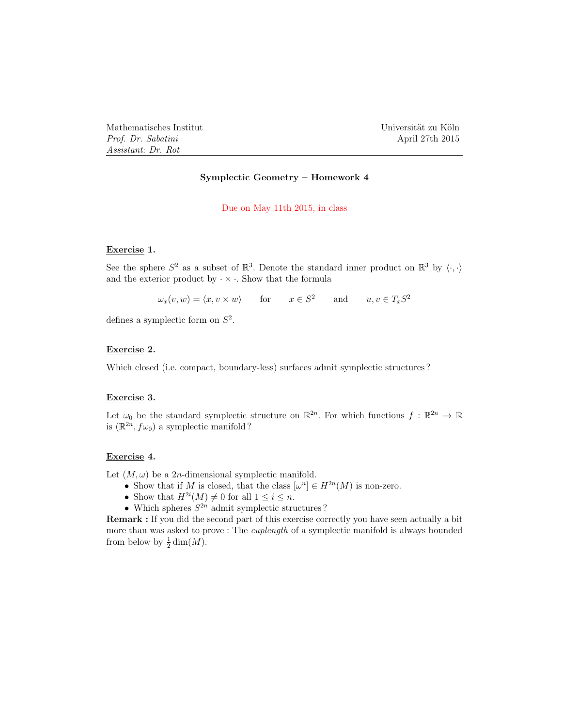Mathematisches Institut Universität zu Köln *Prof. Dr. Sabatini* April 27th 2015 *Assistant: Dr. Rot*

## Symplectic Geometry – Homework 4

#### Due on May 11th 2015, in class

#### Exercise 1.

See the sphere  $S^2$  as a subset of  $\mathbb{R}^3$ . Denote the standard inner product on  $\mathbb{R}^3$  by  $\langle \cdot, \cdot \rangle$ and the exterior product by  $\cdot \times \cdot$ . Show that the formula

 $\omega_x(v, w) = \langle x, v \times w \rangle$  for  $x \in S^2$  and  $u, v \in T_x S^2$ 

defines a symplectic form on *S*<sup>2</sup>.

## Exercise 2.

Which closed (i.e. compact, boundary-less) surfaces admit symplectic structures?

#### Exercise 3.

Let  $\omega_0$  be the standard symplectic structure on  $\mathbb{R}^{2n}$ . For which functions  $f : \mathbb{R}^{2n} \to \mathbb{R}$ is  $(\mathbb{R}^{2n}, f\omega_0)$  a symplectic manifold ?

### Exercise 4.

Let  $(M, \omega)$  be a 2*n*-dimensional symplectic manifold.

- Show that if *M* is closed, that the class  $[\omega^n] \in H^{2n}(M)$  is non-zero.
- Show that  $H^{2i}(M) \neq 0$  for all  $1 \leq i \leq n$ .
- Which spheres  $S^{2n}$  admit symplectic structures ?

Remark : If you did the second part of this exercise correctly you have seen actually a bit more than was asked to prove : The *cuplength* of a symplectic manifold is always bounded from below by  $\frac{1}{2}\dim(M)$ .